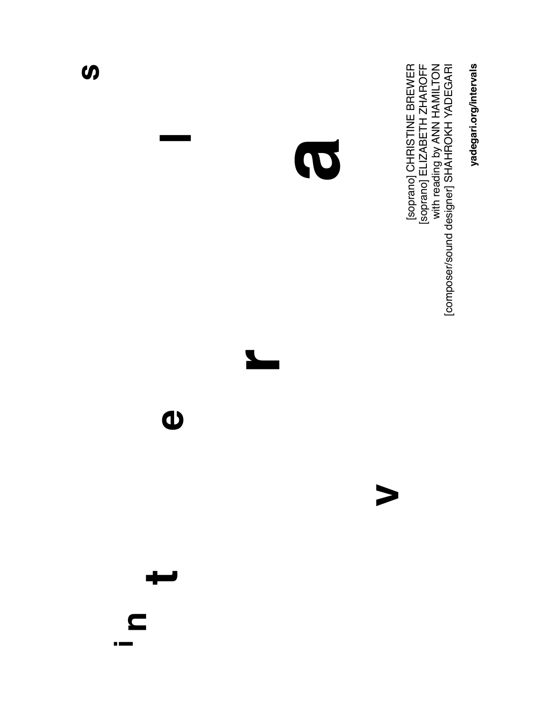yadegari.org/intervals **yadegari.org/intervals**

Soprano] CHRISTINE BREWER<br>Soprano] ELIZABETH ZHAROFF<br>with reading by ANN HAMILTON<br>Composer/sound designer] SHAHROKH YADEGARI [soprano] CHRISTINE BREWER [soprano] ELIZABETH ZHAROFF with reading by ANN HAMILTON YADEGARI [composer/sound designer] SHAHROKH









**e**

 **n t**

**i**

**s**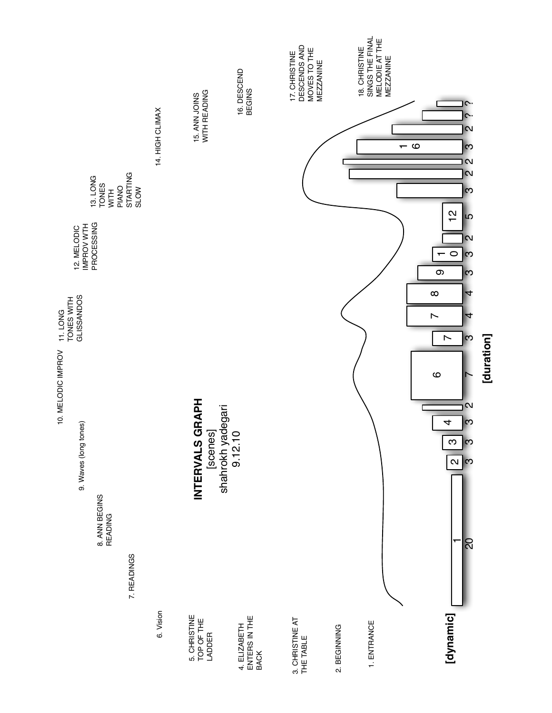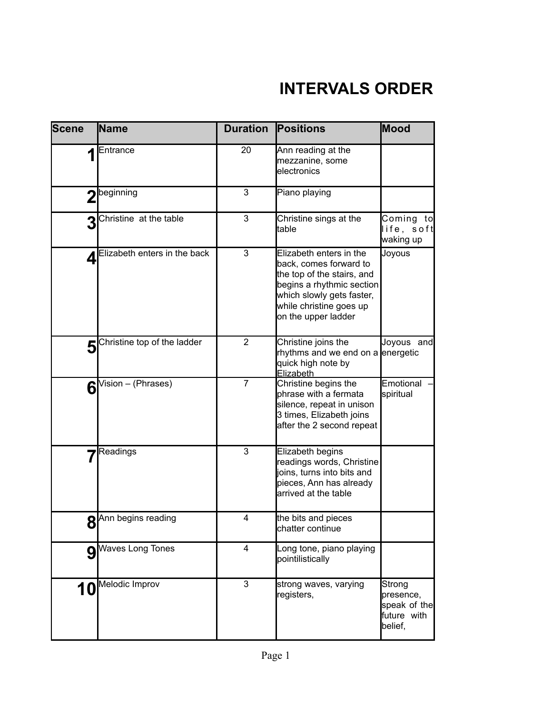## **INTERVALS ORDER**

| <b>Scene</b> | <b>Name</b>                              | <b>Duration</b> | <b>Positions</b>                                                                                                                                                                            | <b>Mood</b>                                                   |
|--------------|------------------------------------------|-----------------|---------------------------------------------------------------------------------------------------------------------------------------------------------------------------------------------|---------------------------------------------------------------|
|              | Entrance                                 | 20              | Ann reading at the<br>mezzanine, some<br>electronics                                                                                                                                        |                                                               |
|              | 2 <sup>beginning</sup>                   | 3               | Piano playing                                                                                                                                                                               |                                                               |
|              | Christine at the table                   | 3               | Christine sings at the<br>table                                                                                                                                                             | Coming to<br>life, soft<br>waking up                          |
| 4            | Elizabeth enters in the back             | 3               | Elizabeth enters in the<br>back, comes forward to<br>the top of the stairs, and<br>begins a rhythmic section<br>which slowly gets faster,<br>while christine goes up<br>on the upper ladder | Joyous                                                        |
|              | 5 <sup>Christine top of the ladder</sup> | $\overline{2}$  | Christine joins the<br>rhythms and we end on a energetic<br>quick high note by<br>Elizabeth                                                                                                 | Joyous and                                                    |
| 6            | Vision - (Phrases)                       | $\overline{7}$  | Christine begins the<br>phrase with a fermata<br>silence, repeat in unison<br>3 times, Elizabeth joins<br>after the 2 second repeat                                                         | Emotional<br>spiritual                                        |
|              | Readings                                 | 3               | Elizabeth begins<br>readings words, Christine<br>joins, turns into bits and<br>pieces, Ann has already<br>arrived at the table                                                              |                                                               |
|              | <b>Q</b> Ann begins reading              | 4               | the bits and pieces<br>chatter continue                                                                                                                                                     |                                                               |
|              | 9 Waves Long Tones                       | 4               | Long tone, piano playing<br>pointilistically                                                                                                                                                |                                                               |
|              | 10 <sup>Melodic Improv</sup>             | 3               | strong waves, varying<br>registers,                                                                                                                                                         | Strong<br>presence,<br>speak of the<br>future with<br>belief, |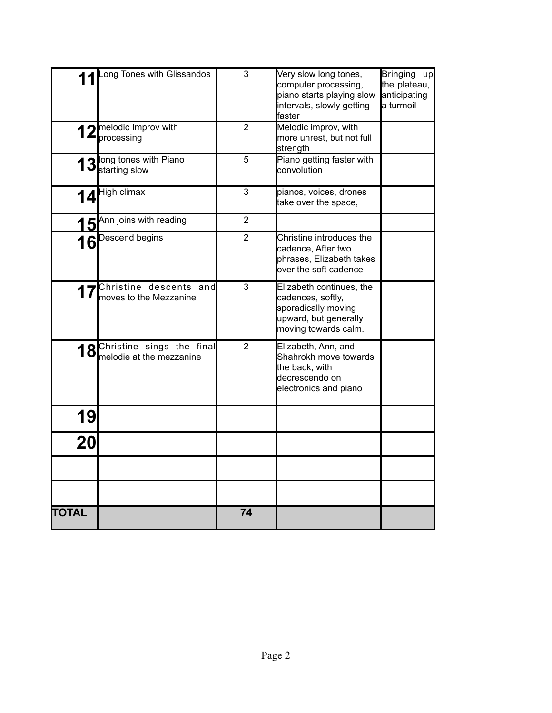|              | Long Tones with Glissandos                               | 3              | Very slow long tones,<br>computer processing,<br>piano starts playing slow<br>intervals, slowly getting<br>faster     | Bringing up<br>the plateau,<br>anticipating<br>la turmoil |
|--------------|----------------------------------------------------------|----------------|-----------------------------------------------------------------------------------------------------------------------|-----------------------------------------------------------|
|              | 12 melodic Improv with                                   | $\overline{2}$ | Melodic improv, with<br>more unrest, but not full<br>strength                                                         |                                                           |
|              | 13 long tones with Piano<br>starting slow                | 5              | Piano getting faster with<br>convolution                                                                              |                                                           |
| 14           | High climax                                              | 3              | pianos, voices, drones<br>take over the space,                                                                        |                                                           |
|              | 15 <sup>Ann joins with reading</sup>                     | $\overline{2}$ |                                                                                                                       |                                                           |
|              | 16 <sup>Descend begins</sup>                             | $\overline{2}$ | Christine introduces the<br>cadence, After two<br>phrases, Elizabeth takes<br>over the soft cadence                   |                                                           |
|              | 17 Christine descents and<br>moves to the Mezzanine      | 3              | Elizabeth continues, the<br>cadences, softly,<br>sporadically moving<br>upward, but generally<br>moving towards calm. |                                                           |
|              | 18 Christine sings the final<br>melodie at the mezzanine | $\overline{2}$ | Elizabeth, Ann, and<br>Shahrokh move towards<br>the back, with<br>decrescendo on<br>electronics and piano             |                                                           |
| 19           |                                                          |                |                                                                                                                       |                                                           |
| 20           |                                                          |                |                                                                                                                       |                                                           |
|              |                                                          |                |                                                                                                                       |                                                           |
|              |                                                          |                |                                                                                                                       |                                                           |
| <b>TOTAL</b> |                                                          | 74             |                                                                                                                       |                                                           |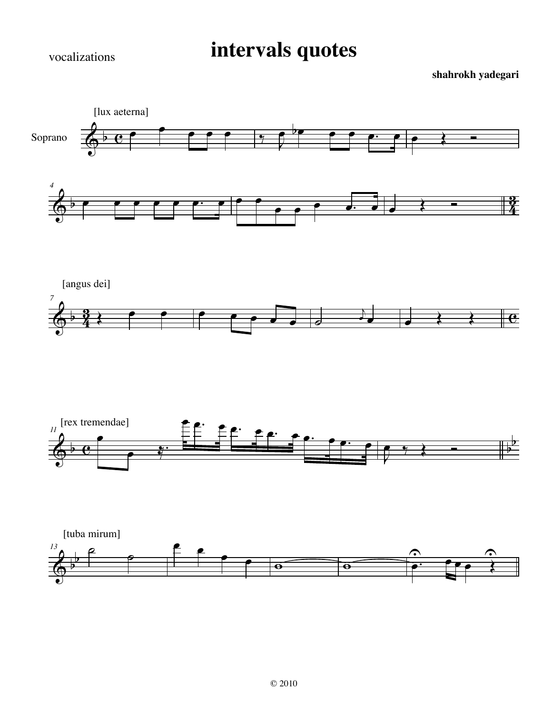vocalizations

## **intervals quotes**

**shahrokh yadegari**



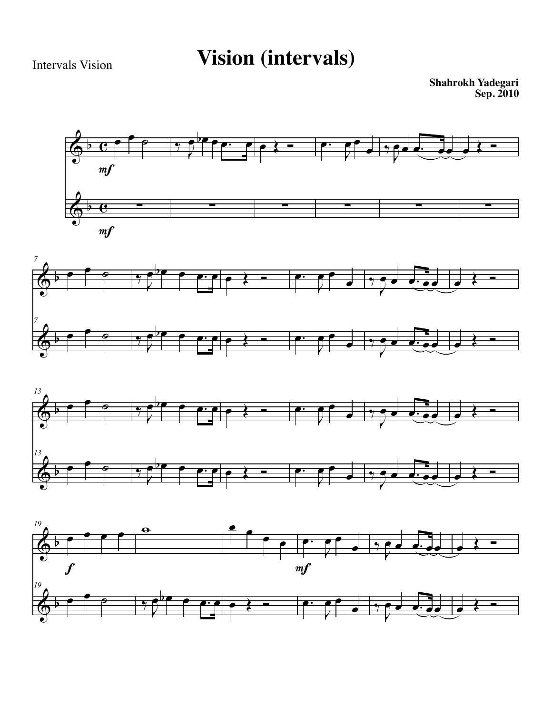#### Intervals Vision

# **Vision (intervals)**

**Shahrokh Yadegari Sep. 2010**







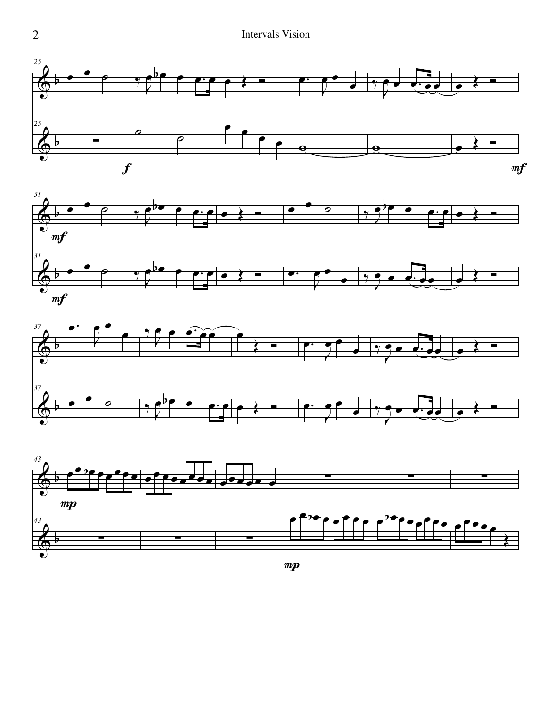





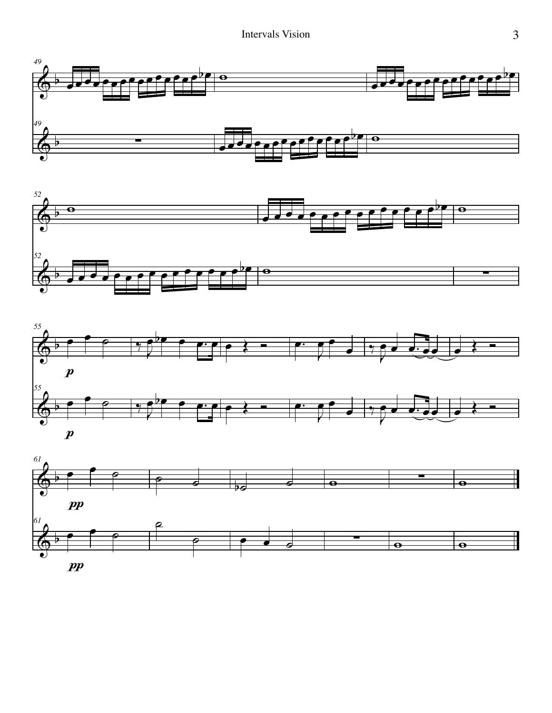





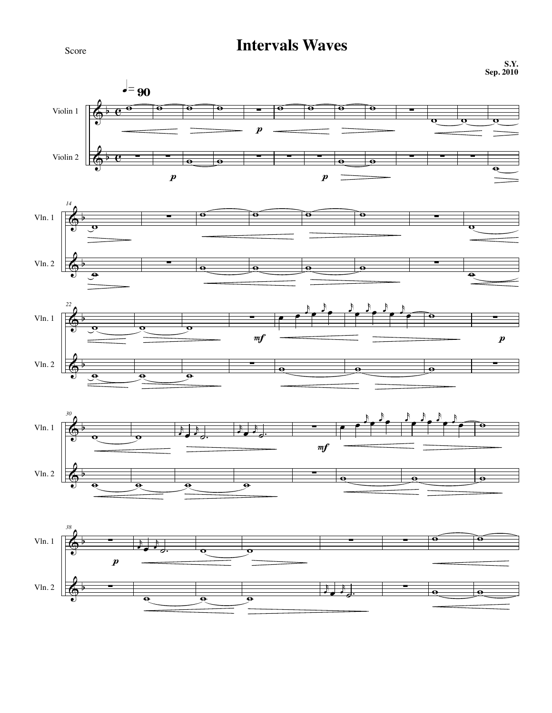Score

### **Intervals Waves**

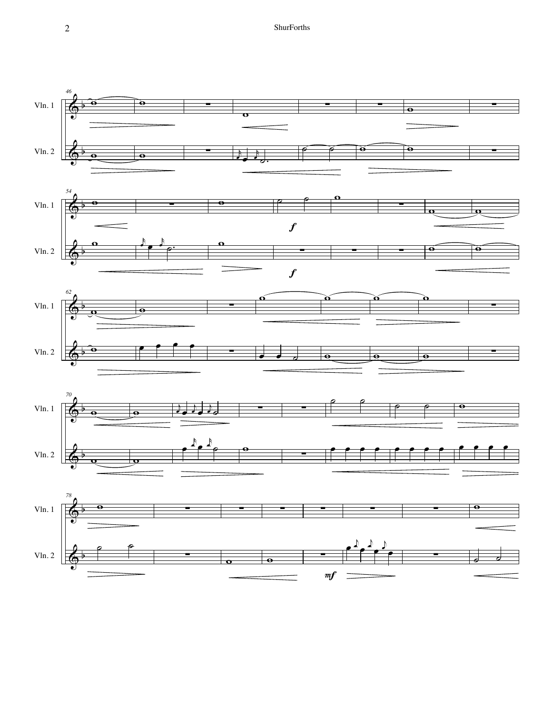